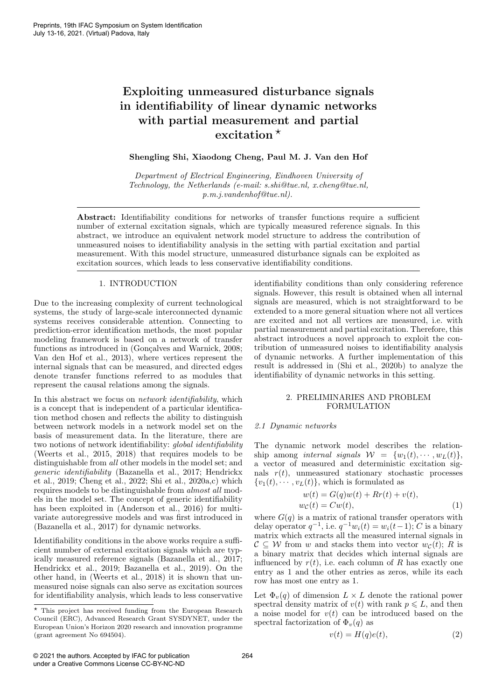# Exploiting unmeasured disturbance signals in identifiability of linear dynamic networks with partial measurement and partial excitation  $*$

# Shengling Shi, Xiaodong Cheng, Paul M. J. Van den Hof

*Department of Electrical Engineering, Eindhoven University of Technology, the Netherlands (e-mail: s.shi@tue.nl, x.cheng@tue.nl, p.m.j.vandenhof@tue.nl).*

Abstract: Identifiability conditions for networks of transfer functions require a sufficient number of external excitation signals, which are typically measured reference signals. In this abstract, we introduce an equivalent network model structure to address the contribution of unmeasured noises to identifiability analysis in the setting with partial excitation and partial measurement. With this model structure, unmeasured disturbance signals can be exploited as excitation sources, which leads to less conservative identifiability conditions.

# 1. INTRODUCTION

Due to the increasing complexity of current technological systems, the study of large-scale interconnected dynamic systems receives considerable attention. Connecting to prediction-error identification methods, the most popular modeling framework is based on a network of transfer functions as introduced in (Gonçalves and Warnick, 2008; Van den Hof et al., 2013), where vertices represent the internal signals that can be measured, and directed edges denote transfer functions referred to as modules that represent the causal relations among the signals.

In this abstract we focus on *network identifiability*, which is a concept that is independent of a particular identification method chosen and reflects the ability to distinguish between network models in a network model set on the basis of measurement data. In the literature, there are two notions of network identifiability: *global identifiability* (Weerts et al., 2015, 2018) that requires models to be distinguishable from *all* other models in the model set; and *generic identifiability* (Bazanella et al., 2017; Hendrickx et al., 2019; Cheng et al., 2022; Shi et al., 2020a,c) which requires models to be distinguishable from *almost all* models in the model set. The concept of generic identifiability has been exploited in (Anderson et al., 2016) for multivariate autoregressive models and was first introduced in (Bazanella et al., 2017) for dynamic networks.

Identifiability conditions in the above works require a sufficient number of external excitation signals which are typically measured reference signals (Bazanella et al., 2017; Hendrickx et al., 2019; Bazanella et al., 2019). On the other hand, in (Weerts et al., 2018) it is shown that unmeasured noise signals can also serve as excitation sources for identifiability analysis, which leads to less conservative identifiability conditions than only considering reference signals. However, this result is obtained when all internal signals are measured, which is not straightforward to be extended to a more general situation where not all vertices are excited and not all vertices are measured, i.e. with partial measurement and partial excitation. Therefore, this abstract introduces a novel approach to exploit the contribution of unmeasured noises to identifiability analysis of dynamic networks. A further implementation of this result is addressed in (Shi et al., 2020b) to analyze the identifiability of dynamic networks in this setting.

## 2. PRELIMINARIES AND PROBLEM FORMULATION

#### *2.1 Dynamic networks*

The dynamic network model describes the relationship among *internal signals*  $W = \{w_1(t), \dots, w_L(t)\},\$ a vector of measured and deterministic excitation signals  $r(t)$ , unmeasured stationary stochastic processes  $\{v_1(t), \dots, v_L(t)\}\$ , which is formulated as

$$
w(t) = G(q)w(t) + Rr(t) + v(t),
$$
  
\n
$$
w_c(t) = Cw(t),
$$
\n(1)

where  $G(q)$  is a matrix of rational transfer operators with delay operator  $q^{-1}$ , i.e.  $q^{-1}w_i(t) = w_i(t-1)$ ; *C* is a binary matrix which extracts all the measured internal signals in  $C \subseteq W$  from *w* and stacks them into vector  $w_c(t)$ ; *R* is a binary matrix that decides which internal signals are influenced by  $r(t)$ , i.e. each column of *R* has exactly one entry as 1 and the other entries as zeros, while its each row has most one entry as 1.

Let  $\Phi_{v}(q)$  of dimension  $L \times L$  denote the rational power spectral density matrix of  $v(t)$  with rank  $p \le L$ , and then a noise model for  $v(t)$  can be introduced based on the spectral factorization of  $\Phi_{v}(q)$  as

$$
v(t) = H(q)e(t),
$$
\n(2)

 $^\star$  This project has received funding from the European Research Council (ERC), Advanced Research Grant SYSDYNET, under the European Union's Horizon 2020 research and innovation programme (grant agreement No 694504).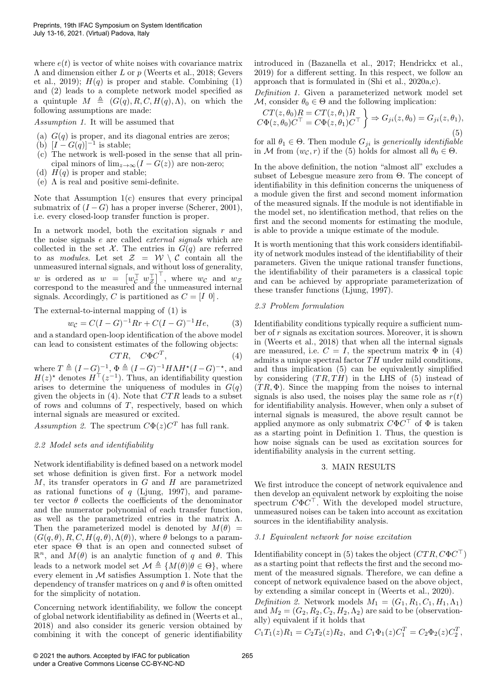where  $e(t)$  is vector of white noises with covariance matrix ⇤ and dimension either *L* or *p* (Weerts et al., 2018; Gevers et al., 2019);  $H(q)$  is proper and stable. Combining (1) and (2) leads to a complete network model specified as a quintuple  $M \triangleq (G(q), R, C, H(q), \Lambda)$ , on which the following assumptions are made:

*Assumption 1.* It will be assumed that

- (a) *G*(*q*) is proper, and its diagonal entries are zeros;
- (b)  $[I G(q)]^{-1}$  is stable;
- (c) The network is well-posed in the sense that all principal minors of  $\lim_{z\to\infty}(I-G(z))$  are non-zero;
- (d)  $H(q)$  is proper and stable;
- (e)  $\Lambda$  is real and positive semi-definite.

Note that Assumption 1(c) ensures that every principal submatrix of  $(I - G)$  has a proper inverse (Scherer, 2001), i.e. every closed-loop transfer function is proper.

In a network model, both the excitation signals *r* and the noise signals *e* are called *external signals* which are collected in the set  $\mathcal{X}$ . The entries in  $G(q)$  are referred to as *modules*. Let set  $\mathcal{Z} = \mathcal{W} \setminus \mathcal{C}$  contain all the unmeasured internal signals, and without loss of generality, *w* is ordered as  $w = \left[w_{Z}^{\top} w_{Z}^{\top}\right]^{\top}$ , where  $w_{\mathcal{C}}$  and  $w_{Z}$ correspond to the measured and the unmeasured internal signals. Accordingly, *C* is partitioned as  $C = [I \ 0]$ .

The external-to-internal mapping of (1) is

$$
w_{\mathcal{C}} = C(I - G)^{-1} Rr + C(I - G)^{-1} He,\tag{3}
$$

and a standard open-loop identification of the above model can lead to consistent estimates of the following objects:

$$
CTR, \quad C\Phi C^T, \tag{4}
$$

where  $T \triangleq (I - G)^{-1}$ ,  $\Phi \triangleq (I - G)^{-1} H \Lambda H^*(I - G)^{-*}$ , and  $H(z)^*$  denotes  $H^{\top}(z^{-1})$ . Thus, an identifiability question arises to determine the uniqueness of modules in  $G(q)$ given the objects in (4). Note that *CTR* leads to a subset of rows and columns of *T*, respectively, based on which internal signals are measured or excited.

*Assumption 2.* The spectrum  $C\Phi(z)C^T$  has full rank.

# *2.2 Model sets and identifiability*

Network identifiability is defined based on a network model set whose definition is given first. For a network model *M*, its transfer operators in *G* and *H* are parametrized as rational functions of *q* (Ljung, 1997), and parameter vector  $\theta$  collects the coefficients of the denominator and the numerator polynomial of each transfer function, as well as the parametrized entries in the matrix  $\Lambda$ . Then the parameterized model is denoted by  $M(\theta)$  =  $(G(q, \theta), R, C, H(q, \theta), \Lambda(\theta))$ , where  $\theta$  belongs to a parameter space  $\Theta$  that is an open and connected subset of  $\mathbb{R}^n$ , and  $M(\theta)$  is an analytic function of *q* and  $\theta$ . This leads to a network model set  $\mathcal{M} \triangleq \{M(\theta)|\theta \in \Theta\}$ , where every element in *M* satisfies Assumption 1. Note that the dependency of transfer matrices on  $q$  and  $\theta$  is often omitted for the simplicity of notation.

Concerning network identifiability, we follow the concept of global network identifiability as defined in (Weerts et al., 2018) and also consider its generic version obtained by combining it with the concept of generic identifiability

introduced in (Bazanella et al., 2017; Hendrickx et al., 2019) for a different setting. In this respect, we follow an approach that is formulated in (Shi et al., 2020a,c).

*Definition 1.* Given a parameterized network model set *M*, consider  $\theta_0 \in \Theta$  and the following implication:

$$
CT(z, \theta_0)R = CT(z, \theta_1)R C\Phi(z, \theta_0)C^{\top} = C\Phi(z, \theta_1)C^{\top} \} \Rightarrow G_{ji}(z, \theta_0) = G_{ji}(z, \theta_1),
$$
  
(5)

for all  $\theta_1 \in \Theta$ . Then module  $G_{ji}$  is *generically identifiable* in *M* from  $(w_c, r)$  if the (5) holds for almost all  $\theta_0 \in \Theta$ .

In the above definition, the notion "almost all" excludes a subset of Lebesgue measure zero from  $\Theta$ . The concept of identifiability in this definition concerns the uniqueness of a module given the first and second moment information of the measured signals. If the module is not identifiable in the model set, no identification method, that relies on the first and the second moments for estimating the module, is able to provide a unique estimate of the module.

It is worth mentioning that this work considers identifiability of network modules instead of the identifiability of their parameters. Given the unique rational transfer functions, the identifiability of their parameters is a classical topic and can be achieved by appropriate parameterization of these transfer functions (Ljung, 1997).

## *2.3 Problem formulation*

Identifiability conditions typically require a sufficient number of *r* signals as excitation sources. Moreover, it is shown in (Weerts et al., 2018) that when all the internal signals are measured, i.e.  $C = I$ , the spectrum matrix  $\Phi$  in (4) admits a unique spectral factor  $\overline{TH}$  under mild conditions, and thus implication (5) can be equivalently simplified by considering  $(T R, T H)$  in the LHS of (5) instead of  $(TR, \Phi)$ . Since the mapping from the noises to internal signals is also used, the noises play the same role as  $r(t)$ for identifiability analysis. However, when only a subset of internal signals is measured, the above result cannot be applied anymore as only submatrix  $C \Phi C^\top$  of  $\Phi$  is taken as a starting point in Definition 1. Thus, the question is how noise signals can be used as excitation sources for identifiability analysis in the current setting.

# 3. MAIN RESULTS

We first introduce the concept of network equivalence and then develop an equivalent network by exploiting the noise spectrum  $\vec{C}\Phi \vec{C}^{\top}$ . With the developed model structure, unmeasured noises can be taken into account as excitation sources in the identifiability analysis.

### *3.1 Equivalent network for noise excitation*

Identifiability concept in (5) takes the object  $(CTR, C\Phi C^{\top})$ as a starting point that reflects the first and the second moment of the measured signals. Therefore, we can define a concept of network equivalence based on the above object, by extending a similar concept in (Weerts et al., 2020).

*Definition 2.* Network models  $M_1 = (G_1, R_1, C_1, H_1, \Lambda_1)$ and  $M_2 = (G_2, R_2, C_2, H_2, \Lambda_2)$  are said to be (observationally) equivalent if it holds that

$$
C_1T_1(z)R_1 = C_2T_2(z)R_2
$$
, and  $C_1\Phi_1(z)C_1^T = C_2\Phi_2(z)C_2^T$ ,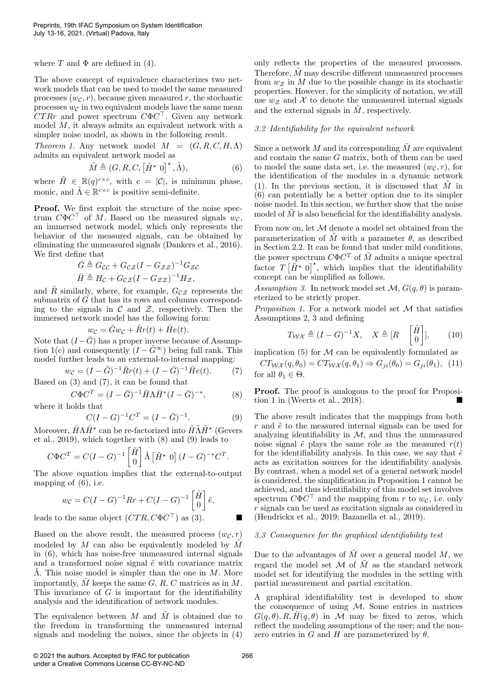where  $T$  and  $\Phi$  are defined in (4).

The above concept of equivalence characterizes two network models that can be used to model the same measured processes  $(w_{\mathcal{C}}, r)$ , because given measured *r*, the stochastic processes  $w_c$  in two equivalent models have the same mean  $CTRr$  and power spectrum  $C\Phi C^{\top}$ . Given any network model *M*, it always admits an equivalent network with a simpler noise model, as shown in the following result.

*Theorem 1.* Any network model  $M = (G, R, C, H, \Lambda)$ admits an equivalent network model as

$$
\tilde{M} \triangleq (G, R, C, \left[\tilde{H}^{\star} \ 0\right]^{\star}, \tilde{\Lambda}), \tag{6}
$$

where  $\tilde{H} \in \mathbb{R}(q)^{c \times c}$ , with  $c = |\mathcal{C}|$ , is minimum phase, monic, and  $\tilde{\Lambda} \in \mathbb{R}^{c \times c}$  is positive semi-definite.

Proof. We first exploit the structure of the noise spectrum  $C\Phi C^{\top}$  of M. Based on the measured signals  $w_{\mathcal{C}}$ , an immersed network model, which only represents the behavior of the measured signals, can be obtained by eliminating the unmeasured signals (Dankers et al., 2016). We first define that

$$
\bar{G} \triangleq G_{\mathcal{C}\mathcal{C}} + G_{\mathcal{C}\mathcal{Z}}(I - G_{\mathcal{Z}\mathcal{Z}})^{-1}G_{\mathcal{Z}\mathcal{C}}
$$
  

$$
\bar{H} \triangleq H_{\mathcal{C}} + G_{\mathcal{C}\mathcal{Z}}(I - G_{\mathcal{Z}\mathcal{Z}})^{-1}H_{\mathcal{Z}},
$$

and *R* similarly, where, for example,  $G_{CZ}$  represents the submatrix of *G* that has its rows and columns corresponding to the signals in  $C$  and  $Z$ , respectively. Then the immersed network model has the following form:

$$
w_{\mathcal{C}} = \bar{G}w_{\mathcal{C}} + \bar{R}r(t) + \bar{H}e(t).
$$

Note that  $(I - \bar{G})$  has a proper inverse because of Assumption 1(c) and consequently  $(I - \bar{G}^{\infty})$  being full rank. This model further leads to an external-to-internal mapping:

$$
w_{\mathcal{C}} = (I - \bar{G})^{-1} \bar{R}r(t) + (I - \bar{G})^{-1} \bar{H}e(t).
$$
 (7)

Based on (3) and (7), it can be found that

$$
C\Phi C^{T} = (I - \bar{G})^{-1} \bar{H} \Lambda \bar{H}^{*} (I - \bar{G})^{-*},
$$
 (8)  
olds that

where it holds that

$$
C(I - G)^{-1}C^{T} = (I - \bar{G})^{-1}.
$$
 (9)

Moreover,  $H\Lambda H^*$  can be re-factorized into  $H\Lambda H^*$  (Gevers et al., 2019), which together with (8) and (9) leads to

$$
C\Phi C^{T} = C(I - G)^{-1} \begin{bmatrix} \tilde{H} \\ 0 \end{bmatrix} \tilde{\Lambda} \begin{bmatrix} \tilde{H}^{\star} & 0 \end{bmatrix} (I - G)^{-*} C^{T}.
$$

The above equation implies that the external-to-output mapping of (6), i.e.

$$
w_{\mathcal{C}} = C(I - G)^{-1} Rr + C(I - G)^{-1} \begin{bmatrix} \tilde{H} \\ 0 \end{bmatrix} \tilde{e},
$$

leads to the same object  $(CTR, C\Phi C^{\top})$  as (3).

Based on the above result, the measured process  $(w<sub>C</sub>, r)$ modeled by  $M$  can also be equivalently modeled by  $\tilde{M}$ in (6), which has noise-free unmeasured internal signals and a transformed noise signal  $\tilde{e}$  with covariance matrix ⇤˜. This noise model is simpler than the one in *M*. More importantly,  $\tilde{M}$  keeps the same  $G$ ,  $R$ ,  $C$  matrices as in  $M$ . This invariance of *G* is important for the identifiability analysis and the identification of network modules.

The equivalence between  $M$  and  $\tilde{M}$  is obtained due to the freedom in transforming the unmeasured internal signals and modeling the noises, since the objects in (4) only reflects the properties of the measured processes. Therefore, *M* may describe different unmeasured processes from  $wz$  in *M* due to the possible change in its stochastic properties. However, for the simplicity of notation, we still use  $w_z$  and  $\mathcal X$  to denote the unmeasured internal signals and the external signals in  $M$ , respectively.

## *3.2 Identifiability for the equivalent network*

Since a network *M* and its corresponding *M* are equivalent and contain the same *G* matrix, both of them can be used to model the same data set, i.e. the measured  $(w<sub>C</sub>, r)$ , for the identification of the modules in a dynamic network (1). In the previous section, it is discussed that  $M$  in (6) can potentially be a better option due to its simpler noise model. In this section, we further show that the noise model of *M* is also beneficial for the identifiability analysis.

From now on, let *M* denote a model set obtained from the parameterization of  $\tilde{M}$  with a parameter  $\theta$ , as described in Section 2.2. It can be found that under mild conditions, the power spectrum  $C\Phi C^T$  of  $\tilde{M}$  admits a unique spectral factor  $T\left[\hat{H}^{\star} \; 0\right]^{\star}$ , which implies that the identifiability concept can be simplified as follows.

*Assumption 3.* In network model set  $\mathcal{M}, G(q, \theta)$  is parameterized to be strictly proper.

*Proposition 1.* For a network model set *M* that satisfies Assumptions 2, 3 and defining

$$
T_{\mathcal{W}X} \triangleq (I - G)^{-1}X, \quad X \triangleq [R \quad \begin{bmatrix} \tilde{H} \\ 0 \end{bmatrix}], \quad (10)
$$

implication  $(5)$  for  $M$  can be equivalently formulated as

 $CT_{\mathcal{W}\mathcal{X}}(q,\theta_0) = CT_{\mathcal{W}\mathcal{X}}(q,\theta_1) \Rightarrow G_{ii}(\theta_0) = G_{ii}(\theta_1)$ , (11) for all  $\theta_1 \in \Theta$ .

Proof. The proof is analogous to the proof for Proposition 1 in (Weerts et al.,  $2018$ ).

The above result indicates that the mappings from both  $r$  and  $\tilde{e}$  to the measured internal signals can be used for analyzing identifiability in  $M$ , and thus the unmeasured noise signal  $\tilde{e}$  plays the same role as the measured  $r(t)$ for the identifiability analysis. In this case, we say that  $\tilde{e}$ acts as excitation sources for the identifiability analysis. By contrast, when a model set of a general network model is considered, the simplification in Proposition 1 cannot be achieved, and thus identifiability of this model set involves spectrum  $C\Phi C^{\top}$  and the mapping from *r* to  $w_c$ , i.e. only *r* signals can be used as excitation signals as considered in (Hendrickx et al., 2019; Bazanella et al., 2019).

#### *3.3 Consequence for the graphical identifiability test*

Due to the advantages of  $\tilde{M}$  over a general model  $M$ , we regard the model set  $\mathcal M$  of  $\tilde M$  as the standard network model set for identifying the modules in the setting with partial measurement and partial excitation.

A graphical identifiability test is developed to show the consequence of using *M*. Some entries in matrices  $G(q, \theta), R, \tilde{H}(q, \theta)$  in *M* may be fixed to zeros, which reflect the modeling assumptions of the user; and the nonzero entries in *G* and *H* are parameterized by  $\theta$ .